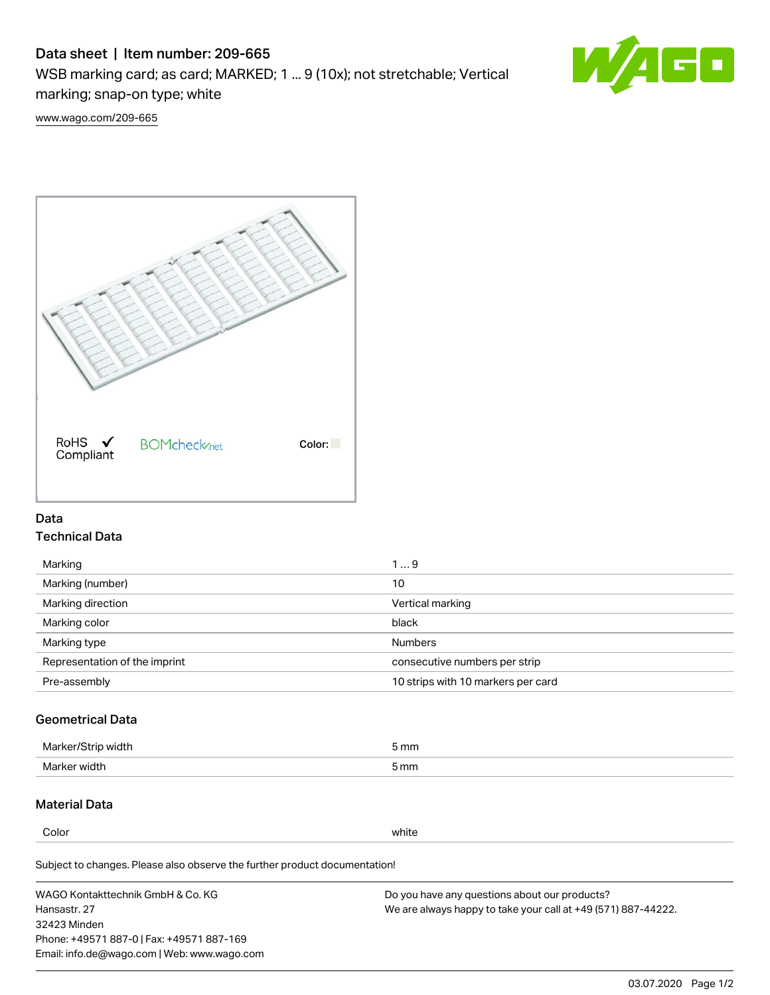# Data sheet | Item number: 209-665

WSB marking card; as card; MARKED; 1 ... 9 (10x); not stretchable; Vertical marking; snap-on type; white



[www.wago.com/209-665](http://www.wago.com/209-665)



## Data Technical Data

| Marking                       | 19                                 |
|-------------------------------|------------------------------------|
| Marking (number)              | 10                                 |
| Marking direction             | Vertical marking                   |
| Marking color                 | black                              |
| Marking type                  | <b>Numbers</b>                     |
| Representation of the imprint | consecutive numbers per strip      |
| Pre-assembly                  | 10 strips with 10 markers per card |

# Geometrical Data

| width        | i mm |
|--------------|------|
| Marker/      | -    |
| Marker width | 5 mm |

## Material Data

Color white

Subject to changes. Please also observe the further product documentation!

WAGO Kontakttechnik GmbH & Co. KG Hansastr. 27 32423 Minden Phone: +49571 887-0 | Fax: +49571 887-169 Email: info.de@wago.com | Web: www.wago.com Do you have any questions about our products? We are always happy to take your call at +49 (571) 887-44222.